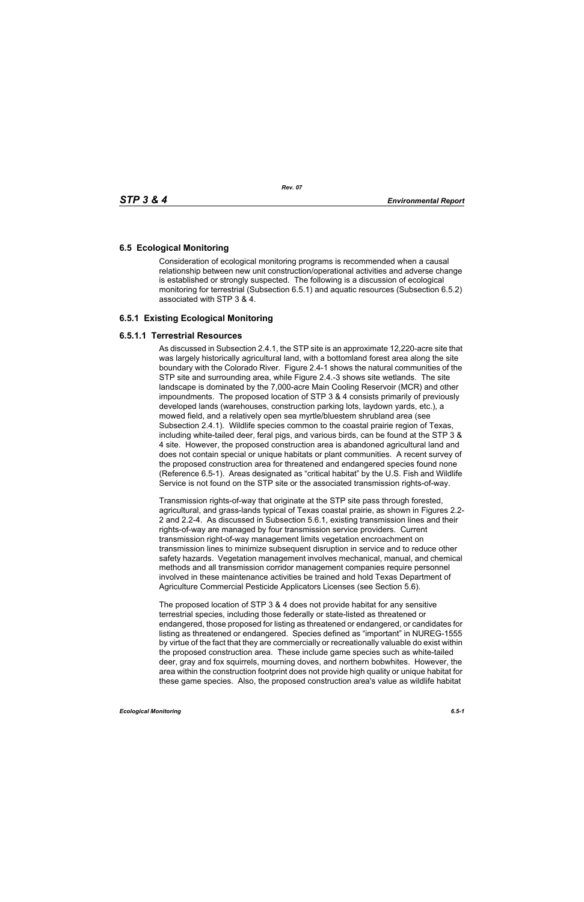# **6.5 Ecological Monitoring**

Consideration of ecological monitoring programs is recommended when a causal relationship between new unit construction/operational activities and adverse change is established or strongly suspected. The following is a discussion of ecological monitoring for terrestrial (Subsection 6.5.1) and aquatic resources (Subsection 6.5.2) associated with STP 3 & 4.

# **6.5.1 Existing Ecological Monitoring**

### **6.5.1.1 Terrestrial Resources**

As discussed in Subsection 2.4.1, the STP site is an approximate 12,220-acre site that was largely historically agricultural land, with a bottomland forest area along the site boundary with the Colorado River. Figure 2.4-1 shows the natural communities of the STP site and surrounding area, while Figure 2.4.-3 shows site wetlands. The site landscape is dominated by the 7,000-acre Main Cooling Reservoir (MCR) and other impoundments. The proposed location of STP 3 & 4 consists primarily of previously developed lands (warehouses, construction parking lots, laydown yards, etc.), a mowed field, and a relatively open sea myrtle/bluestem shrubland area (see Subsection 2.4.1). Wildlife species common to the coastal prairie region of Texas, including white-tailed deer, feral pigs, and various birds, can be found at the STP 3 & 4 site. However, the proposed construction area is abandoned agricultural land and does not contain special or unique habitats or plant communities. A recent survey of the proposed construction area for threatened and endangered species found none (Reference 6.5-1). Areas designated as "critical habitat" by the U.S. Fish and Wildlife Service is not found on the STP site or the associated transmission rights-of-way.

Transmission rights-of-way that originate at the STP site pass through forested, agricultural, and grass-lands typical of Texas coastal prairie, as shown in Figures 2.2- 2 and 2.2-4. As discussed in Subsection 5.6.1, existing transmission lines and their rights-of-way are managed by four transmission service providers. Current transmission right-of-way management limits vegetation encroachment on transmission lines to minimize subsequent disruption in service and to reduce other safety hazards. Vegetation management involves mechanical, manual, and chemical methods and all transmission corridor management companies require personnel involved in these maintenance activities be trained and hold Texas Department of Agriculture Commercial Pesticide Applicators Licenses (see Section 5.6).

The proposed location of STP 3 & 4 does not provide habitat for any sensitive terrestrial species, including those federally or state-listed as threatened or endangered, those proposed for listing as threatened or endangered, or candidates for listing as threatened or endangered. Species defined as "important" in NUREG-1555 by virtue of the fact that they are commercially or recreationally valuable do exist within the proposed construction area. These include game species such as white-tailed deer, gray and fox squirrels, mourning doves, and northern bobwhites. However, the area within the construction footprint does not provide high quality or unique habitat for these game species. Also, the proposed construction area's value as wildlife habitat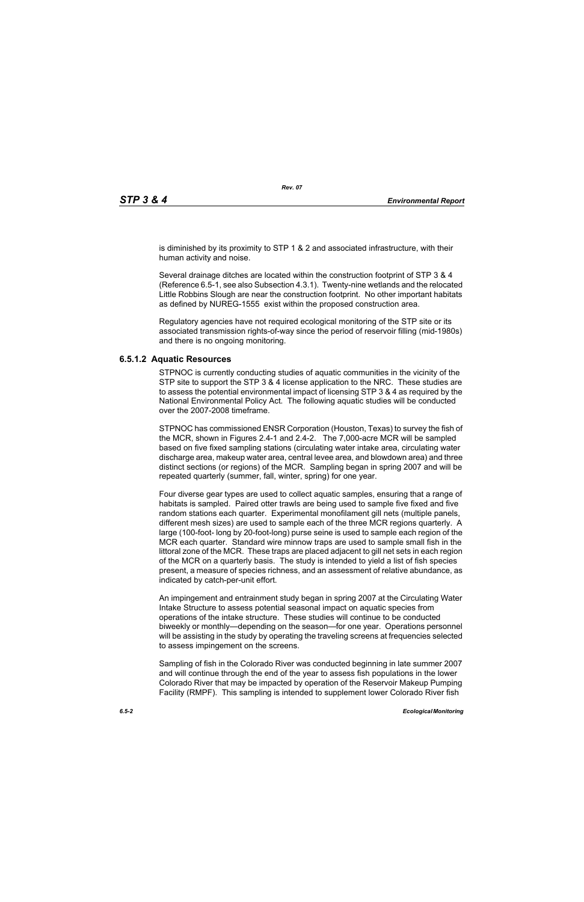is diminished by its proximity to STP 1 & 2 and associated infrastructure, with their human activity and noise.

Several drainage ditches are located within the construction footprint of STP 3 & 4 (Reference 6.5-1, see also Subsection 4.3.1). Twenty-nine wetlands and the relocated Little Robbins Slough are near the construction footprint. No other important habitats as defined by NUREG-1555 exist within the proposed construction area.

Regulatory agencies have not required ecological monitoring of the STP site or its associated transmission rights-of-way since the period of reservoir filling (mid-1980s) and there is no ongoing monitoring.

### **6.5.1.2 Aquatic Resources**

STPNOC is currently conducting studies of aquatic communities in the vicinity of the STP site to support the STP 3 & 4 license application to the NRC. These studies are to assess the potential environmental impact of licensing STP 3 & 4 as required by the National Environmental Policy Act. The following aquatic studies will be conducted over the 2007-2008 timeframe.

STPNOC has commissioned ENSR Corporation (Houston, Texas) to survey the fish of the MCR, shown in Figures 2.4-1 and 2.4-2. The 7,000-acre MCR will be sampled based on five fixed sampling stations (circulating water intake area, circulating water discharge area, makeup water area, central levee area, and blowdown area) and three distinct sections (or regions) of the MCR. Sampling began in spring 2007 and will be repeated quarterly (summer, fall, winter, spring) for one year.

Four diverse gear types are used to collect aquatic samples, ensuring that a range of habitats is sampled. Paired otter trawls are being used to sample five fixed and five random stations each quarter. Experimental monofilament gill nets (multiple panels, different mesh sizes) are used to sample each of the three MCR regions quarterly. A large (100-foot- long by 20-foot-long) purse seine is used to sample each region of the MCR each quarter. Standard wire minnow traps are used to sample small fish in the littoral zone of the MCR. These traps are placed adjacent to gill net sets in each region of the MCR on a quarterly basis. The study is intended to yield a list of fish species present, a measure of species richness, and an assessment of relative abundance, as indicated by catch-per-unit effort.

An impingement and entrainment study began in spring 2007 at the Circulating Water Intake Structure to assess potential seasonal impact on aquatic species from operations of the intake structure. These studies will continue to be conducted biweekly or monthly—depending on the season—for one year. Operations personnel will be assisting in the study by operating the traveling screens at frequencies selected to assess impingement on the screens.

Sampling of fish in the Colorado River was conducted beginning in late summer 2007 and will continue through the end of the year to assess fish populations in the lower Colorado River that may be impacted by operation of the Reservoir Makeup Pumping Facility (RMPF). This sampling is intended to supplement lower Colorado River fish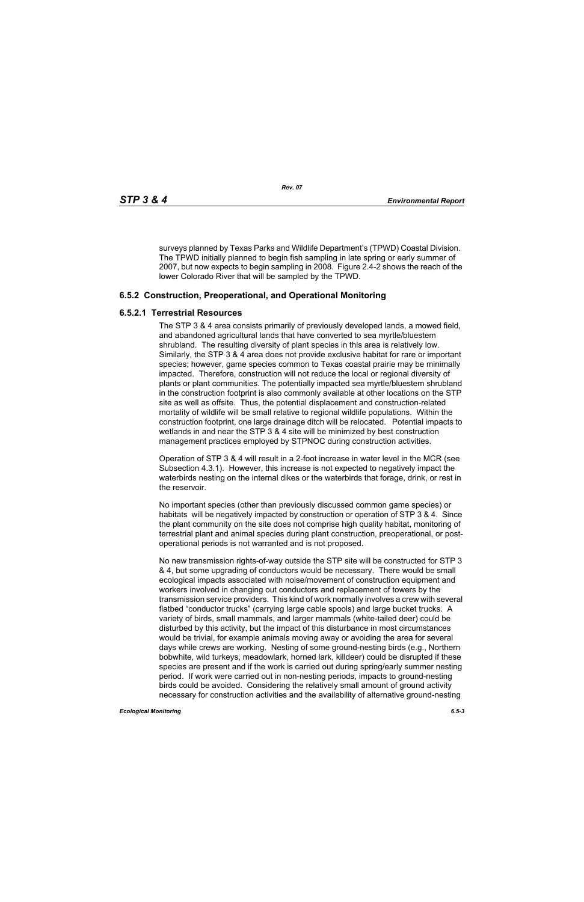surveys planned by Texas Parks and Wildlife Department's (TPWD) Coastal Division. The TPWD initially planned to begin fish sampling in late spring or early summer of 2007, but now expects to begin sampling in 2008. Figure 2.4-2 shows the reach of the lower Colorado River that will be sampled by the TPWD.

### **6.5.2 Construction, Preoperational, and Operational Monitoring**

### **6.5.2.1 Terrestrial Resources**

The STP 3 & 4 area consists primarily of previously developed lands, a mowed field, and abandoned agricultural lands that have converted to sea myrtle/bluestem shrubland. The resulting diversity of plant species in this area is relatively low. Similarly, the STP 3 & 4 area does not provide exclusive habitat for rare or important species; however, game species common to Texas coastal prairie may be minimally impacted. Therefore, construction will not reduce the local or regional diversity of plants or plant communities. The potentially impacted sea myrtle/bluestem shrubland in the construction footprint is also commonly available at other locations on the STP site as well as offsite. Thus, the potential displacement and construction-related mortality of wildlife will be small relative to regional wildlife populations. Within the construction footprint, one large drainage ditch will be relocated. Potential impacts to wetlands in and near the STP 3 & 4 site will be minimized by best construction management practices employed by STPNOC during construction activities.

Operation of STP 3 & 4 will result in a 2-foot increase in water level in the MCR (see Subsection 4.3.1). However, this increase is not expected to negatively impact the waterbirds nesting on the internal dikes or the waterbirds that forage, drink, or rest in the reservoir.

No important species (other than previously discussed common game species) or habitats will be negatively impacted by construction or operation of STP 3 & 4. Since the plant community on the site does not comprise high quality habitat, monitoring of terrestrial plant and animal species during plant construction, preoperational, or postoperational periods is not warranted and is not proposed.

No new transmission rights-of-way outside the STP site will be constructed for STP 3 & 4, but some upgrading of conductors would be necessary. There would be small ecological impacts associated with noise/movement of construction equipment and workers involved in changing out conductors and replacement of towers by the transmission service providers. This kind of work normally involves a crew with several flatbed "conductor trucks" (carrying large cable spools) and large bucket trucks. A variety of birds, small mammals, and larger mammals (white-tailed deer) could be disturbed by this activity, but the impact of this disturbance in most circumstances would be trivial, for example animals moving away or avoiding the area for several days while crews are working. Nesting of some ground-nesting birds (e.g., Northern bobwhite, wild turkeys, meadowlark, horned lark, killdeer) could be disrupted if these species are present and if the work is carried out during spring/early summer nesting period. If work were carried out in non-nesting periods, impacts to ground-nesting birds could be avoided. Considering the relatively small amount of ground activity necessary for construction activities and the availability of alternative ground-nesting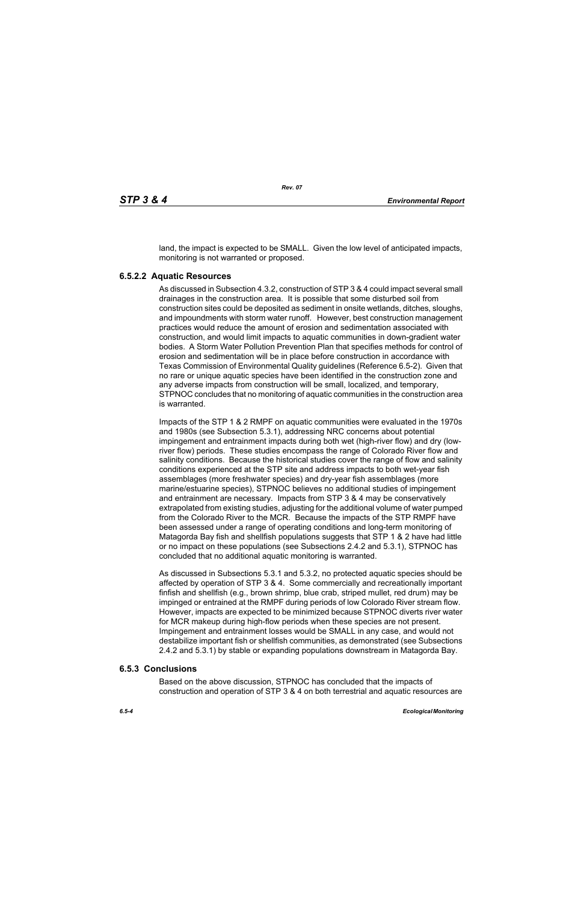land, the impact is expected to be SMALL. Given the low level of anticipated impacts, monitoring is not warranted or proposed.

### **6.5.2.2 Aquatic Resources**

As discussed in Subsection 4.3.2, construction of STP 3 & 4 could impact several small drainages in the construction area. It is possible that some disturbed soil from construction sites could be deposited as sediment in onsite wetlands, ditches, sloughs, and impoundments with storm water runoff. However, best construction management practices would reduce the amount of erosion and sedimentation associated with construction, and would limit impacts to aquatic communities in down-gradient water bodies. A Storm Water Pollution Prevention Plan that specifies methods for control of erosion and sedimentation will be in place before construction in accordance with Texas Commission of Environmental Quality guidelines (Reference 6.5-2). Given that no rare or unique aquatic species have been identified in the construction zone and any adverse impacts from construction will be small, localized, and temporary, STPNOC concludes that no monitoring of aquatic communities in the construction area is warranted.

Impacts of the STP 1 & 2 RMPF on aquatic communities were evaluated in the 1970s and 1980s (see Subsection 5.3.1), addressing NRC concerns about potential impingement and entrainment impacts during both wet (high-river flow) and dry (lowriver flow) periods. These studies encompass the range of Colorado River flow and salinity conditions. Because the historical studies cover the range of flow and salinity conditions experienced at the STP site and address impacts to both wet-year fish assemblages (more freshwater species) and dry-year fish assemblages (more marine/estuarine species), STPNOC believes no additional studies of impingement and entrainment are necessary. Impacts from STP 3 & 4 may be conservatively extrapolated from existing studies, adjusting for the additional volume of water pumped from the Colorado River to the MCR. Because the impacts of the STP RMPF have been assessed under a range of operating conditions and long-term monitoring of Matagorda Bay fish and shellfish populations suggests that STP 1 & 2 have had little or no impact on these populations (see Subsections 2.4.2 and 5.3.1), STPNOC has concluded that no additional aquatic monitoring is warranted.

As discussed in Subsections 5.3.1 and 5.3.2, no protected aquatic species should be affected by operation of STP 3 & 4. Some commercially and recreationally important finfish and shellfish (e.g., brown shrimp, blue crab, striped mullet, red drum) may be impinged or entrained at the RMPF during periods of low Colorado River stream flow. However, impacts are expected to be minimized because STPNOC diverts river water for MCR makeup during high-flow periods when these species are not present. Impingement and entrainment losses would be SMALL in any case, and would not destabilize important fish or shellfish communities, as demonstrated (see Subsections 2.4.2 and 5.3.1) by stable or expanding populations downstream in Matagorda Bay.

### **6.5.3 Conclusions**

Based on the above discussion, STPNOC has concluded that the impacts of construction and operation of STP 3 & 4 on both terrestrial and aquatic resources are